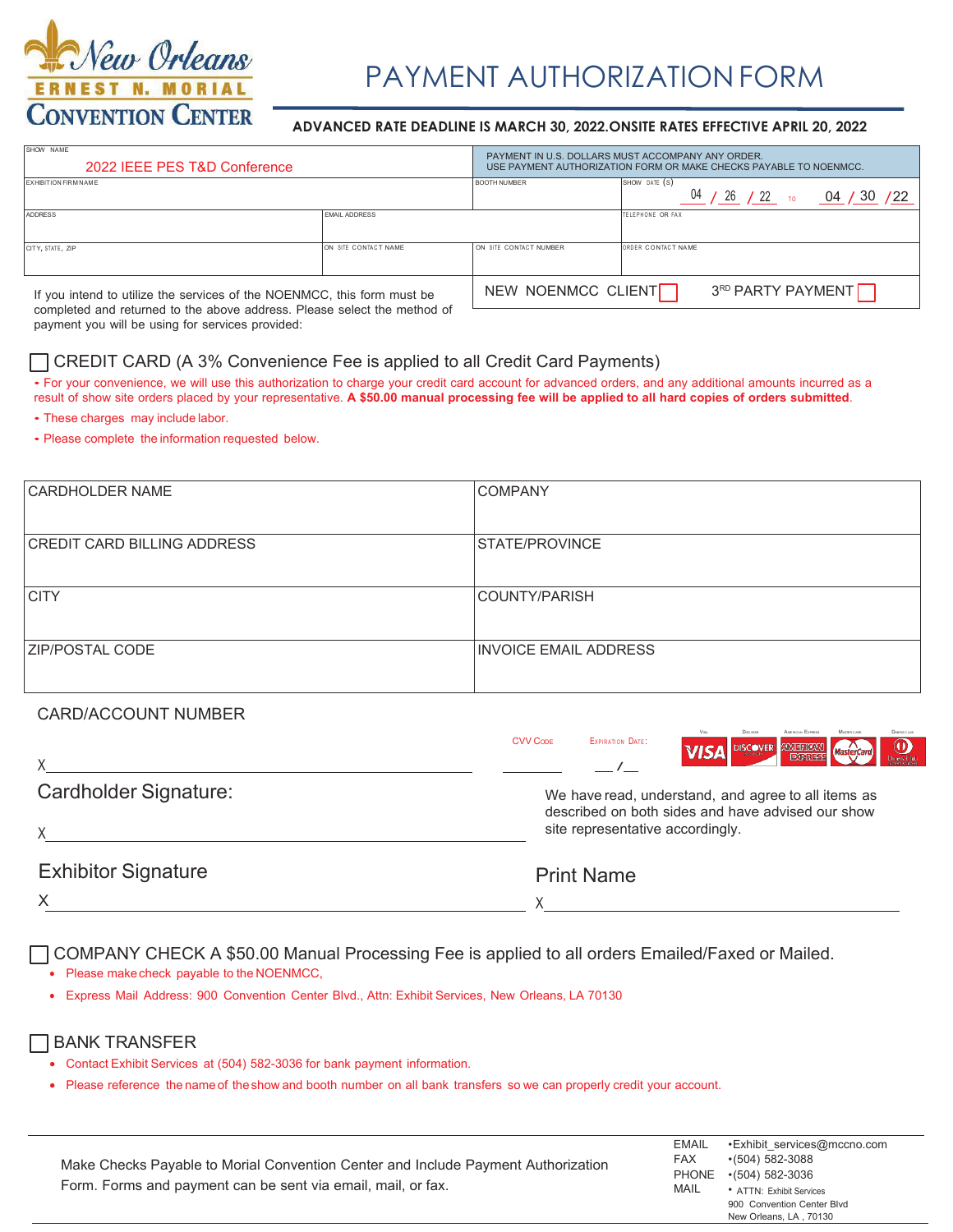

# PAYMENT AUTHORIZATION FORM

#### $ADVANCED$  RATE DEADLINE IS MARCH 30, 2022. ONSITE RATES EFFECTIVE APRIL 20, 2022

| SHOW NAME<br>PAYMENT IN U.S. DOLLARS MUST ACCOMPANY ANY ORDER.<br>2022 IEEE PES T&D Conference<br>USE PAYMENT AUTHORIZATION FORM OR MAKE CHECKS PAYABLE TO NOENMCC. |                                      |                        |                    |
|---------------------------------------------------------------------------------------------------------------------------------------------------------------------|--------------------------------------|------------------------|--------------------|
| <b>EXHIBITION FIRM NAME</b>                                                                                                                                         | <b>BOOTH NUMBER</b><br>SHOW DATE (S) |                        |                    |
| ADDRESS                                                                                                                                                             | <b>FMAIL ADDRESS</b>                 |                        | TELEPHONE OR FAX   |
| CITY, STATE, ZIP                                                                                                                                                    | ON SITE CONTACT NAME                 | ON SITE CONTACT NUMBER | ORDER CONTACT NAME |
| NEW NOENMCC CLIENT<br>If you intend to utilize the services of the NOENMCC, this form must be                                                                       |                                      |                        | 3RD PARTY PAYMENT  |

completed and returned to the above address. Please select the method of payment you will be using for services provided:

#### T CREDIT CARD (A 3% Convenience Fee is applied to all Credit Card Payments)

• For your convenience, we will use this authorization to charge your credit card account for advanced orders, and any additional amounts incurred as a result of show site orders placed by your representative. A \$50.00 manual processing fee will be applied to all hard copies of orders submitted.

- These charges may include labor.
- Please complete the information requested below.

| <b>CARDHOLDER NAME</b>             | <b>COMPANY</b>               |
|------------------------------------|------------------------------|
|                                    |                              |
| <b>CREDIT CARD BILLING ADDRESS</b> | <b>ISTATE/PROVINCE</b>       |
|                                    |                              |
| <b>CITY</b>                        | COUNTY/PARISH                |
|                                    |                              |
| <b>ZIP/POSTAL CODE</b>             | <b>INVOICE EMAIL ADDRESS</b> |
|                                    |                              |
|                                    |                              |

#### CARD/ACCOUNT NUMBER

|                            | <b>Visa</b><br><b>Discorps</b><br>AMERICAN EXPRESS<br>MASER CARD<br><b>DINERS CLUB</b><br><b>CVV CODE</b><br>EXPIRATION DATE:<br>$\underbrace{\text{O}}_{\text{Dures Club}}$<br>DISCOVER <b>AMERICAN</b><br><b>VISA</b><br>MasterCa |
|----------------------------|-------------------------------------------------------------------------------------------------------------------------------------------------------------------------------------------------------------------------------------|
| Cardholder Signature:      | We have read, understand, and agree to all items as<br>described on both sides and have advised our show                                                                                                                            |
|                            | site representative accordingly.                                                                                                                                                                                                    |
| <b>Exhibitor Signature</b> | <b>Print Name</b>                                                                                                                                                                                                                   |
|                            |                                                                                                                                                                                                                                     |

COMPANY CHECK A \$50.00 Manual Processing Fee is applied to all orders Emailed/Faxed or Mailed.

 $\bullet$  Please make check payable to the NOENMCC,

v Express Mail Address: 900 Convention Center Blvd., Attn: Exhibit Services, New Orleans, LA 70130

#### BANK TRANSFER

- Contact Exhibit Services at (504) 582-3036 for bank payment information.
- v Please reference the name of the show and booth number on all bank transfers so we can properly credit your account.

|                                                                                   | EMAIL      | •Exhibit services@mccno.com |
|-----------------------------------------------------------------------------------|------------|-----------------------------|
| Make Checks Payable to Morial Convention Center and Include Payment Authorization | <b>FAX</b> | $\cdot$ (504) 582-3088      |
|                                                                                   |            | PHONE •(504) 582-3036       |
| Form. Forms and payment can be sent via email, mail, or fax.                      | MAIL       | • ATTN: Exhibit Services    |
|                                                                                   |            | 900 Convention Center Blvd  |
|                                                                                   |            | New Orleans, LA, 70130      |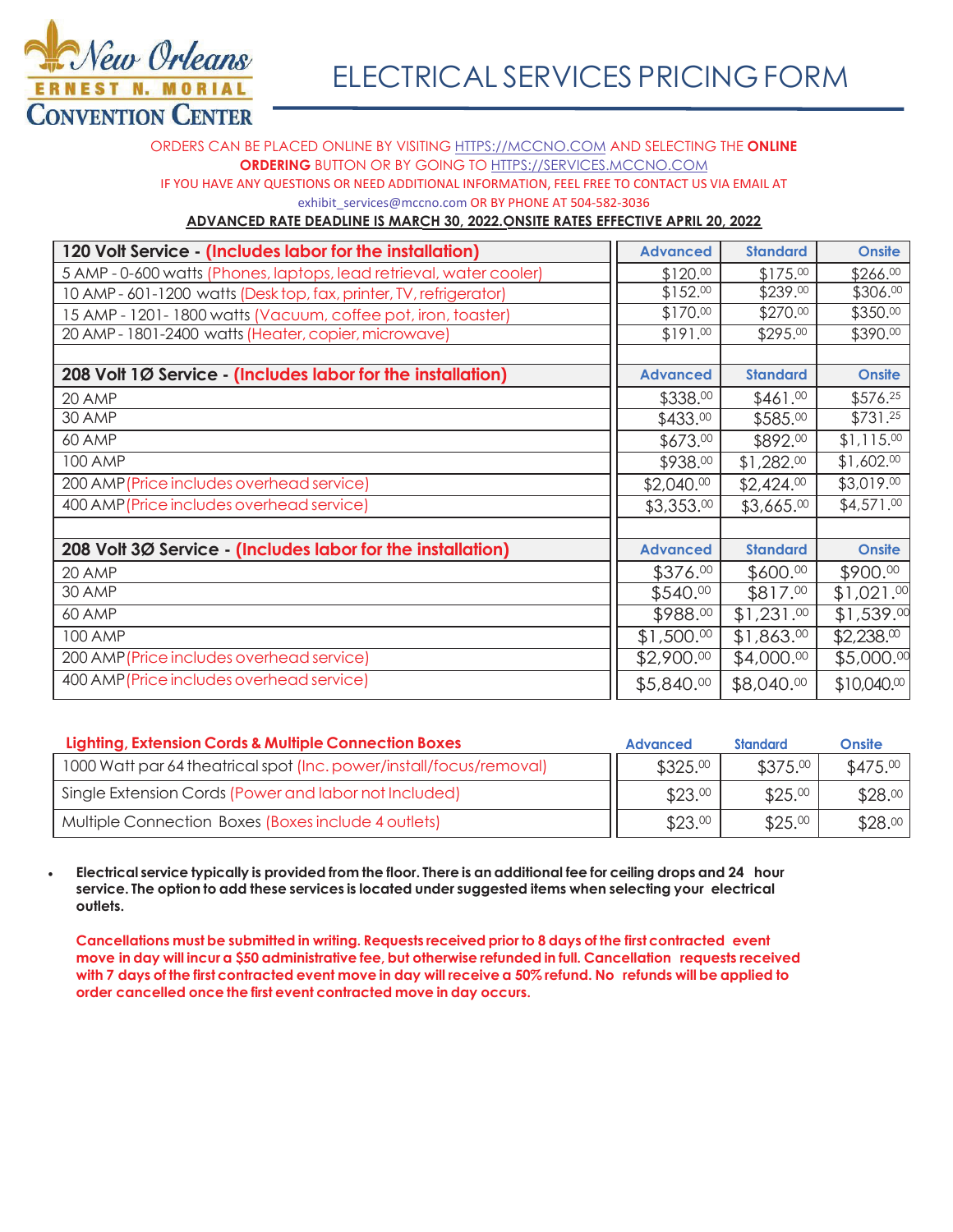

ORDERS CAN BE PLACED ONLINE BY VISITING **HTTPS://MCCNO.COM AND SELECTING THE ONLINE ORDERING** BUTTON OR BY GOING TO HTTPS://SERVICES.MCCNO.COM IF YOU HAVE ANY QUESTIONS OR NEED ADDITIONAL INFORMATION, FEEL FREE TO CONTACT US VIA EMAIL AT exhibit\_services@mccno.com OR BY PHONE AT 504-582-3036

#### **ADVANCED RATE DEADLINE IS MARCH 30, 2022.ONSITE RATES EFFECTIVE APRIL 20, 2022.**

| 120 Volt Service - (Includes labor for the installation)            | <b>Advanced</b> | <b>Standard</b> | <b>Onsite</b>             |
|---------------------------------------------------------------------|-----------------|-----------------|---------------------------|
| 5 AMP - 0-600 watts (Phones, laptops, lead retrieval, water cooler) | \$120.00        | \$175.00        | \$266.00                  |
| 10 AMP - 601-1200 watts (Desktop, fax, printer, TV, refrigerator)   | \$152.00        | \$239.00        | \$306.00                  |
| 15 AMP - 1201-1800 watts (Vacuum, coffee pot, iron, toaster)        | \$170.00        | \$270.00        | \$350.00                  |
| 20 AMP - 1801-2400 watts (Heater, copier, microwave)                | \$191.00        | \$295.00        | \$390.00                  |
|                                                                     |                 |                 |                           |
| 208 Volt 1Ø Service - (Includes labor for the installation)         | <b>Advanced</b> | <b>Standard</b> | <b>Onsite</b>             |
| 20 AMP                                                              | \$338.00        | \$461.00        | \$576.25                  |
| 30 AMP                                                              | \$433.00        | \$585.00        | \$731.25                  |
| 60 AMP                                                              | \$673.00        | \$892.00        | \$1,115.00                |
| <b>100 AMP</b>                                                      | \$938.00        | \$1,282.00      | \$1,602.00                |
| 200 AMP (Price includes overhead service)                           | \$2,040.00      | \$2,424.00      | \$3,019.00                |
| 400 AMP (Price includes overhead service)                           | \$3,353.00      | \$3,665.00      | \$4,571.00                |
|                                                                     |                 |                 |                           |
| 208 Volt 3Ø Service - (Includes labor for the installation)         | <b>Advanced</b> | <b>Standard</b> | <b>Onsite</b>             |
| 20 AMP                                                              | \$376.00        | \$600.00        | \$900.00                  |
| 30 AMP                                                              | \$540.00        | \$817.00        | \$1,021.00                |
| 60 AMP                                                              | \$988.00        | \$1,231.00      | \$1,539.00                |
| <b>100 AMP</b>                                                      | \$1,500.00      | \$1,863.00      | \$2,238.00                |
| 200 AMP (Price includes overhead service)                           | \$2,900.00      | \$4,000.00      | \$5,000.00                |
| 400 AMP (Price includes overhead service)                           | \$5,840.00      | \$8,040.00      | $$10,040$ . <sup>00</sup> |

| Lighting, Extension Cords & Multiple Connection Boxes               | <b>Advanced</b> | <b>Standard</b> | <b>Onsite</b> |
|---------------------------------------------------------------------|-----------------|-----------------|---------------|
| 1000 Watt par 64 theatrical spot (Inc. power/install/focus/removal) | \$325.00        | \$375.00        | \$475.00      |
| Single Extension Cords (Power and labor not Included)               | \$23.00         | \$25.00         | \$28.00       |
| Multiple Connection Boxes (Boxes include 4 outlets)                 | \$23.00         | \$25.00         | \$28.00       |

x **Electrical service typically is provided from the floor. There is an additional fee for ceiling drops and 24 hour service. The option to add these services is located under suggested items when selecting your electrical outlets.**

**Cancellations must be submitted in writing. Requests received prior to 8 days of the first contracted event move in day will incur a \$50 administrative fee, but otherwise refunded in full. Cancellation requests received with 7 days of the first contracted event move in day will receive a 50% refund. No refunds will be applied to order cancelled once the first event contracted move in day occurs.**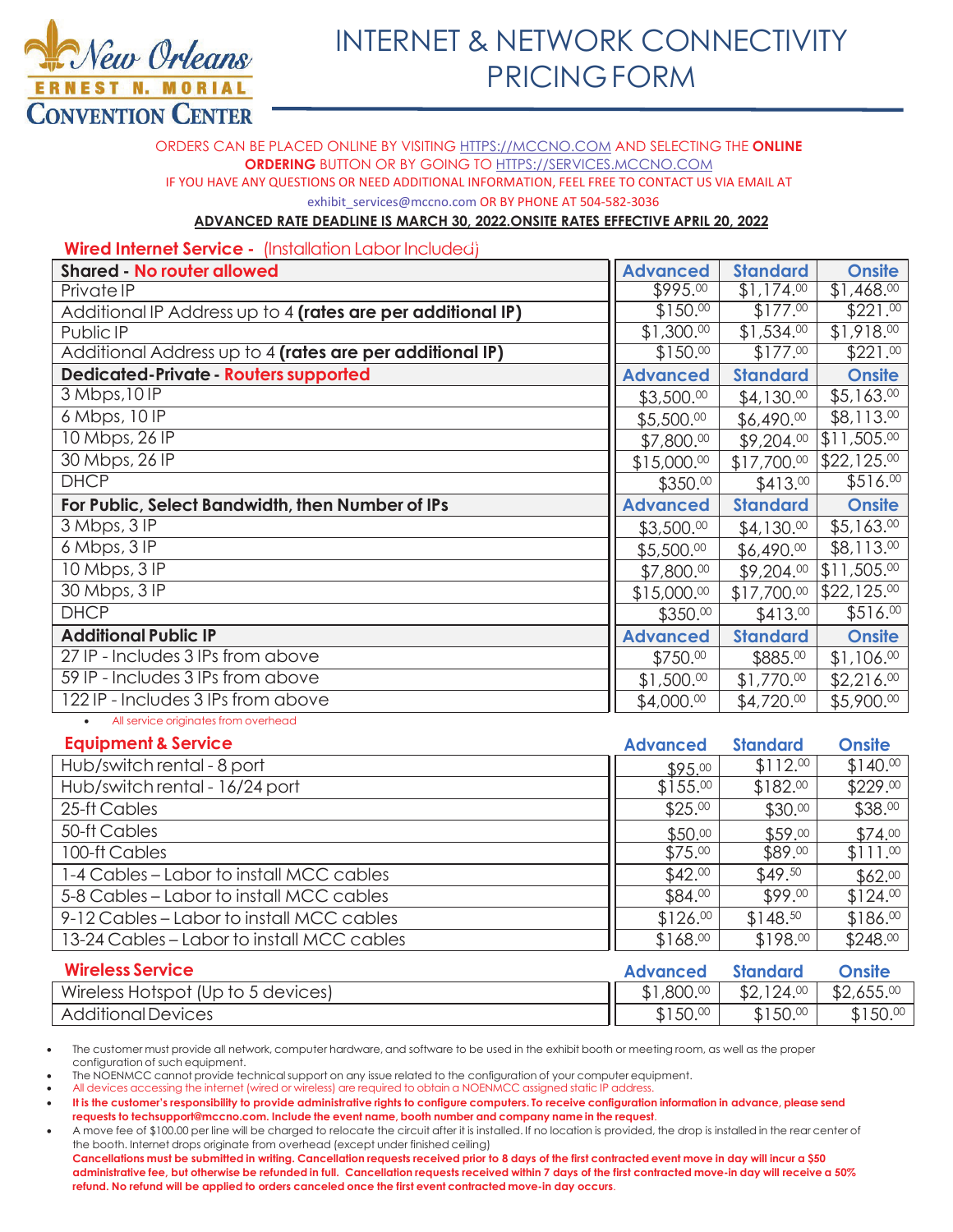

## **INTERNET & NETWORK CONNECTIVITY PRICING FORM**

ORDERS CAN BE PLACED ONLINE BY VISITING HTTPS://MCCNO.COM AND SELECTING THE ONLINE **ORDERING BUTTON OR BY GOING TO HTTPS://SERVICES.MCCNO.COM** IF YOU HAVE ANY QUESTIONS OR NEED ADDITIONAL INFORMATION, FEEL FREE TO CONTACT US VIA EMAIL AT exhibit services@mccno.com OR BY PHONE AT 504-582-3036

#### **ADVANCED RATE DEADLINE IS MARCH 30, 2022.ONSITE RATES EFFECTIVE APRIL 20, 2022**

#### Wired Internet Service - (Installation Labor Included)

| <b>Shared - No router allowed</b>                           | <b>Advanced</b> | <b>Standard</b> | <b>Onsite</b> |
|-------------------------------------------------------------|-----------------|-----------------|---------------|
| Private IP                                                  | \$995.00        | \$1,174.00      | \$1,468.00    |
| Additional IP Address up to 4 (rates are per additional IP) | \$150.00        | \$177.00        | \$221.00      |
| Public IP                                                   | \$1,300.00      | \$1,534.00      | \$1,918.00    |
| Additional Address up to 4 (rates are per additional IP)    | \$150.00        | \$177.00        | \$221.00      |
| <b>Dedicated-Private - Routers supported</b>                | <b>Advanced</b> | <b>Standard</b> | <b>Onsite</b> |
| 3 Mbps, 10 IP                                               | \$3,500.00      | \$4,130.00      | \$5,163.00    |
| 6 Mbps, 10 IP                                               | \$5,500.00      | \$6,490.00      | \$8,113.00    |
| 10 Mbps, 26 IP                                              | \$7,800.00      | \$9,204.00      | \$11,505.00   |
| 30 Mbps, 26 IP                                              | \$15,000.00     | \$17,700.00     | \$22,125.00   |
| <b>DHCP</b>                                                 | \$350.00        | \$413.00        | \$516.00      |
|                                                             |                 |                 |               |
| For Public, Select Bandwidth, then Number of IPs            | <b>Advanced</b> | <b>Standard</b> | <b>Onsite</b> |
| 3 Mbps, 3 IP                                                | \$3,500.00      | \$4,130.00      | \$5,163.00    |
| 6 Mbps, 3IP                                                 | \$5,500.00      | \$6,490.00      | \$8,113.00    |
| 10 Mbps, 3 IP                                               | \$7,800.00      | \$9,204.00      | \$11,505.00   |
| 30 Mbps, 3 IP                                               | \$15,000.00     | \$17,700.00     | \$22,125.00   |
| <b>DHCP</b>                                                 | \$350.00        | \$413.00        | \$516.00      |
| <b>Additional Public IP</b>                                 | <b>Advanced</b> | <b>Standard</b> | <b>Onsite</b> |
| 27 IP - Includes 3 IPs from above                           | \$750.00        | \$885.00        | \$1,106.00    |
| 59 IP - Includes 3 IPs from above                           | \$1,500.00      | \$1,770.00      | \$2,216.00    |

All service originates from overhead

| <b>Equipment &amp; Service</b>             | <b>Advanced</b> | <b>Standard</b> | <b>Onsite</b> |
|--------------------------------------------|-----------------|-----------------|---------------|
| Hub/switch rental - 8 port                 | \$95.00         | \$112.00        | \$140.00      |
| Hub/switch rental - 16/24 port             | \$155.00        | \$182.00        | \$229.00      |
| 25-ft Cables                               | \$25.00         | \$30.00         | \$38.00       |
| 50-ft Cables                               | \$50.00         | \$59.00         | \$74.00       |
| 100-ft Cables                              | \$75.00         | \$89.00         | \$111.00      |
| 1-4 Cables – Labor to install MCC cables   | \$42.00         | \$49.50         | \$62.00       |
| 5-8 Cables – Labor to install MCC cables   | \$84.00         | \$99.00         | \$124.00      |
| 9-12 Cables – Labor to install MCC cables  | \$126.00        | \$148.50        | \$186.00      |
| 13-24 Cables – Labor to install MCC cables | \$168.00        | \$198.00        | \$248.00      |
| <b>Musical Condense</b>                    |                 | $\blacksquare$  |               |

| <b>Wireless Service</b>            | <b>Advanced</b> | <b>Standard</b> | <b>Onsite</b> |
|------------------------------------|-----------------|-----------------|---------------|
| Wireless Hotspot (Up to 5 devices) | 1,800.00        | \$2,124.00      | \$2,655.00    |
| <b>Additional Devices</b>          | \$150.          | \$150.<br>i 00  | \$150.00      |

The customer must provide all network, computer hardware, and software to be used in the exhibit booth or meeting room, as well as the proper configuration of such equipment.

The NOENMCC cannot provide technical support on any issue related to the configuration of your computer equipment. All devices accessing the internet (wired or wireless) are required to obtain a NOENMCC assigned static IP address.

- It is the customer's responsibility to provide administrative rights to configure computers. To receive configuration information in advance, please send requests to techsupport@mccno.com. Include the event name, booth number and company name in the request.
- A move fee of \$100.00 per line will be charged to relocate the circuit after it is installed. If no location is provided, the drop is installed in the rear center of the booth. Internet drops originate from overhead (except under finished ceiling)

Cancellations must be submitted in writing. Cancellation requests received prior to 8 days of the first contracted event move in day will incur a \$50 administrative fee, but otherwise be refunded in full. Cancellation requests received within 7 days of the first contracted move-in day will receive a 50% refund. No refund will be applied to orders canceled once the first event contracted move-in day occurs.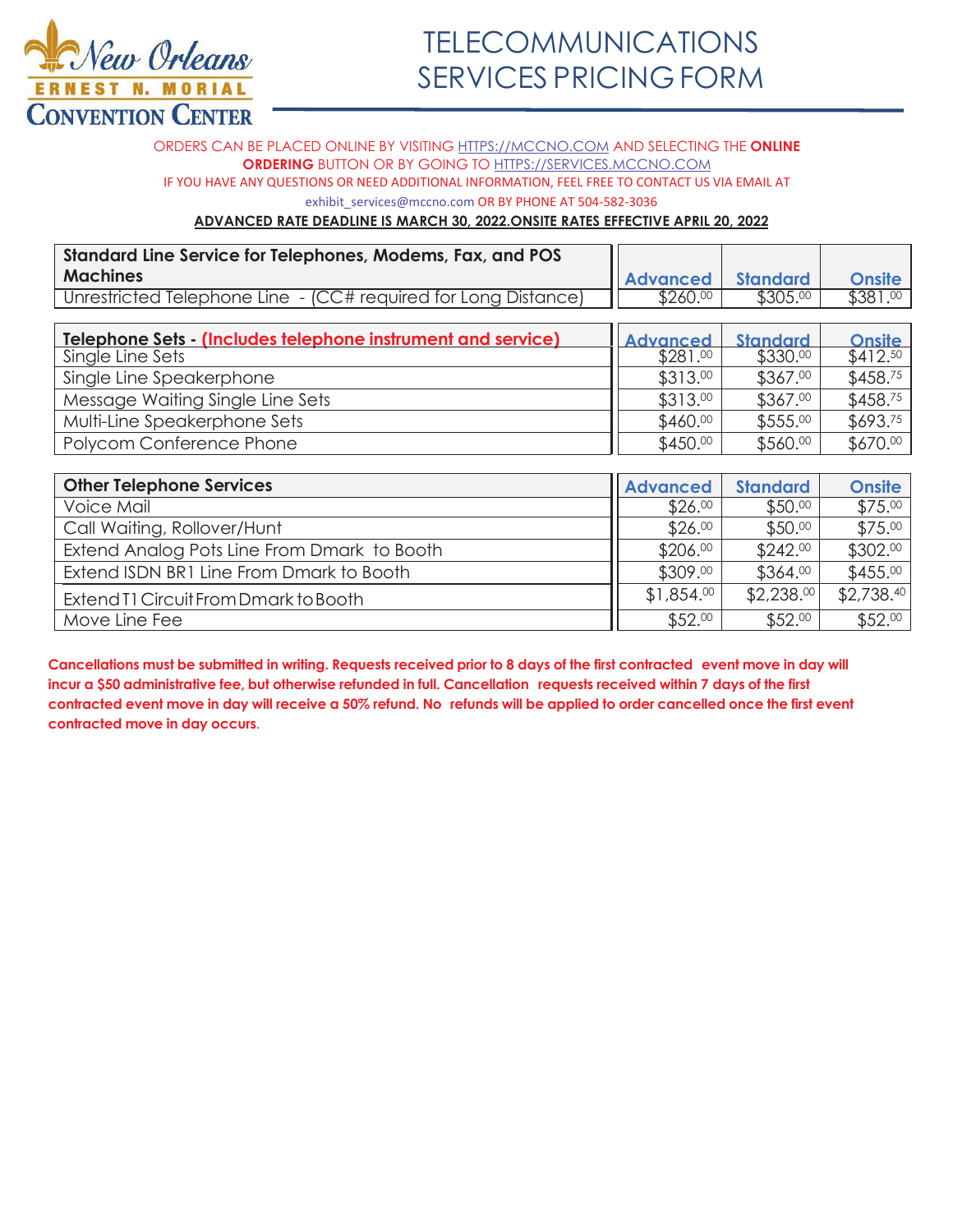

ORDERS CAN BE PLACED ONLINE BY VISITING HTTPS://MCCNO.COM AND SELECTING THE ONLINE **ORDERING** BUTTON OR BY GOING TO HTTPS://SERVICES.MCCNO.COM IF YOU HAVE ANY QUESTIONS OR NEED ADDITIONAL INFORMATION, FEEL FREE TO CONTACT US VIA EMAIL AT exhibit services@mccno.com OR BY PHONE AT 504-582-3036

#### **ADVANCED RATE DEADLINE IS MARCH 30, 2022.ONSITE RATES EFFECTIVE APRIL 20, 2022**

| Standard Line Service for Telephones, Modems, Fax, and POS     |                 |                 |               |
|----------------------------------------------------------------|-----------------|-----------------|---------------|
| <b>Machines</b>                                                | <b>Advanced</b> | <b>Standard</b> | <b>Onsite</b> |
| Unrestricted Telephone Line - (CC# required for Long Distance) | \$260.00        | \$305.00        | \$381.00      |
|                                                                |                 |                 |               |
| Telephone Sets - (Includes telephone instrument and service)   | <b>Advanced</b> | <b>Standard</b> | <b>Onsite</b> |
| Single Line Sets                                               | \$281.00        | \$330.00        | \$412.50      |
| Single Line Speakerphone                                       | \$313.00        | \$367.00        | \$458.75      |
| Message Waiting Single Line Sets                               | \$313.00        | \$367.00        | \$458.75      |
| Multi-Line Speakerphone Sets                                   | \$460.00        | \$555.00        | \$693.75      |
| Polycom Conference Phone                                       | \$450.00        | \$560.00        | \$670.00      |
|                                                                |                 |                 |               |
| <b>Other Telephone Services</b>                                | <b>Advanced</b> | <b>Standard</b> | <b>Onsite</b> |
| Voice Mail                                                     | \$26.00         | \$50.00         | \$75.00       |

| <b>OTTER TEIGNIFIC SERVICES</b>             | <b>LAdvanced</b> | standard   | <b>Onsite</b> |
|---------------------------------------------|------------------|------------|---------------|
| Voice Mail                                  | \$26.00          | \$50.00    | \$75.00       |
| Call Waiting, Rollover/Hunt                 | \$26.00          | \$50.00    | \$75.00       |
| Extend Analog Pots Line From Dmark to Booth | \$206.00         | \$242.00   | \$302.00      |
| Extend ISDN BR1 Line From Dmark to Booth    | \$309.00         | \$364.00   | \$455.00      |
| Extend T1 Circuit From Dmark to Booth       | \$1,854.00       | \$2.238.00 | \$2,738.40    |
| Move Line Fee                               | \$52.00          | \$52.00    | \$52.00       |

**Cancellations must be submitted in writing. Requests received prior to 8 days of the first contracted event move in day will incur a \$50 administrative fee, but otherwise refunded in full. Cancellation requests received within 7 days of the first contracted event move in day will receive a 50% refund. No refunds will be applied to order cancelled once the first event contracted move in day occurs**.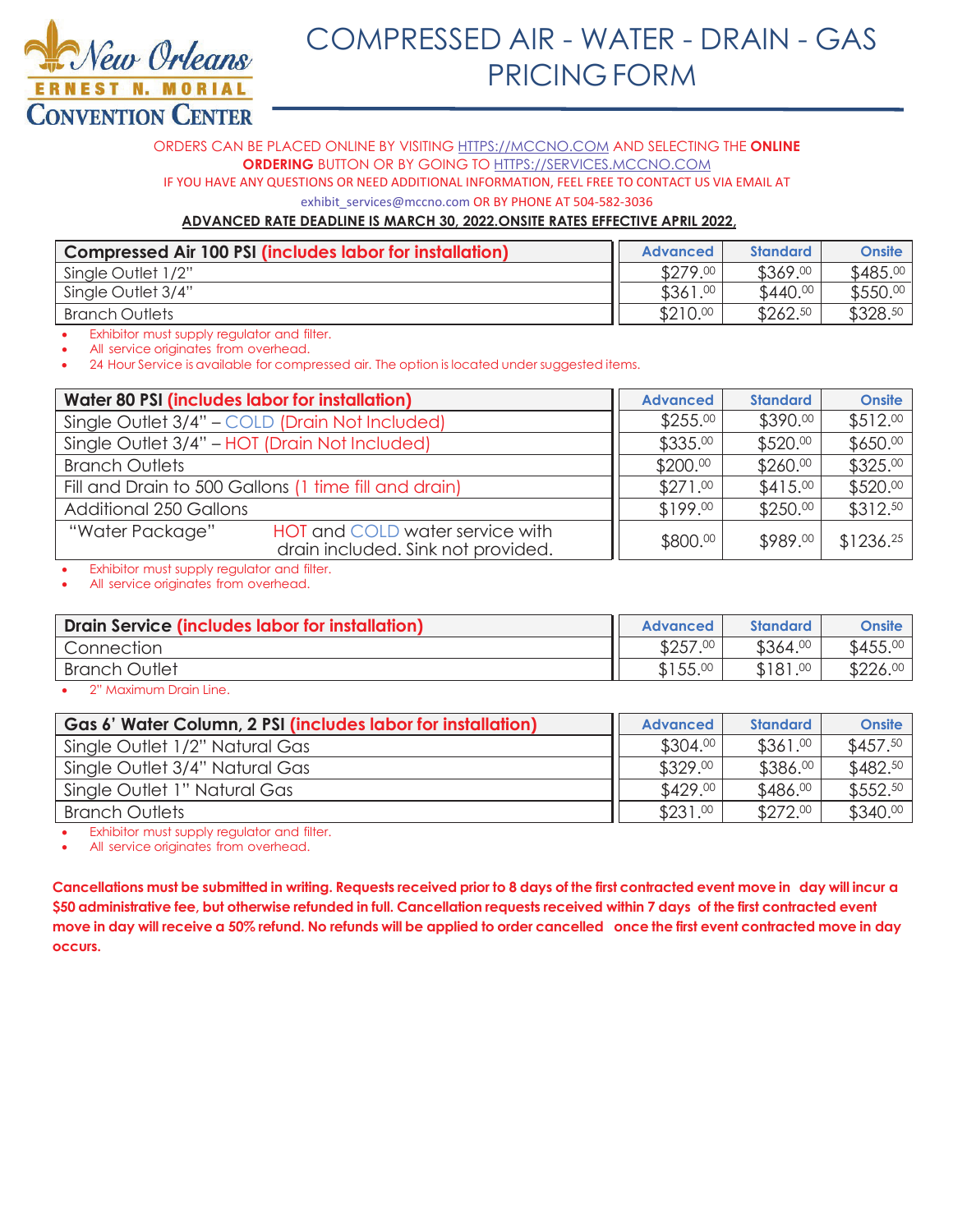

### COMPRESSED AIR - WATER - DRAIN - GAS PRICING FORM

ORDERS CAN BE PLACED ONLINE BY VISITING **HTTPS://MCCNO.COM AND SELECTING THE ONLINE ORDERING** BUTTON OR BY GOING TO HTTPS://SERVICES.MCCNO.COM IF YOU HAVE ANY QUESTIONS OR NEED ADDITIONAL INFORMATION, FEEL FREE TO CONTACT US VIA EMAIL AT

exhibit services@mccno.com OR BY PHONE AT 504-582-3036

#### **ADVANCED RATE DEADLINE IS MARCH 30, 2022.ONSITE RATES EFFECTIVE APRIL 2022,**

| <b>Compressed Air 100 PSI (includes labor for installation)</b> | <b>Advanced</b> | <b>Standard</b> | Onsite   |
|-----------------------------------------------------------------|-----------------|-----------------|----------|
| Single Outlet 1/2"                                              | \$279.00        | \$369.00        | \$485.00 |
| Single Outlet 3/4"                                              | \$361.00        | \$440.00        | \$550.00 |
| Branch Outlets                                                  | \$210.00        | \$262.50        | \$328.50 |

Exhibitor must supply regulator and filter.

All service originates from overhead.

24 Hour Service is available for compressed air. The option is located under suggested items.

| Water 80 PSI (includes labor for installation)                                           | <b>Advanced</b> | <b>Standard</b> | <b>Onsite</b>         |
|------------------------------------------------------------------------------------------|-----------------|-----------------|-----------------------|
| Single Outlet 3/4" - COLD (Drain Not Included)                                           | \$255.00        | \$390.00        | \$512.00              |
| Single Outlet 3/4" - HOT (Drain Not Included)                                            | \$335.00        | \$520.00        | \$650.00              |
| <b>Branch Outlets</b>                                                                    | \$200.00        | \$260.00        | \$325.00              |
| Fill and Drain to 500 Gallons (1 time fill and drain)                                    | \$271.00        | \$415.00        | \$520.00              |
| <b>Additional 250 Gallons</b>                                                            | \$199.00        | \$250.00        | \$312.50              |
| "Water Package"<br>HOT and COLD water service with<br>drain included. Sink not provided. | \$800.00        | \$989.00        | \$1236. <sup>25</sup> |

Exhibitor must supply regulator and filter.

All service originates from overhead.

| Drain Service (includes labor for installation) | <b>Advanced</b> | <b>Standard</b> | <b>Onsite</b> |
|-------------------------------------------------|-----------------|-----------------|---------------|
| Connection                                      | \$257.00        | \$364.00        | $$455.^{00}$  |
| <b>Branch Outlet</b>                            | \$155.00        | \$181.00        | \$226.00      |
|                                                 |                 |                 |               |

2" Maximum Drain Line.

| Gas 6' Water Column, 2 PSI (includes labor for installation) | <b>Advanced</b> | <b>Standard</b> | <b>Onsite</b>        |
|--------------------------------------------------------------|-----------------|-----------------|----------------------|
| Single Outlet 1/2" Natural Gas                               | \$304.00        | \$361.00        | \$457.50             |
| Single Outlet 3/4" Natural Gas                               | \$329.00        | \$386.00        | \$482.50             |
| Single Outlet 1" Natural Gas                                 | \$429.00        | \$486.00        | \$552. <sup>50</sup> |
| <b>Branch Outlets</b>                                        | \$231.00        | \$272.00        | \$340.00             |

Exhibitor must supply regulator and filter.

All service originates from overhead.

**&ancellations must be submitted in writing. Requests received prior to 8 days of the first contracted event move in day will incur a \$50 administrative fee, but otherwise refunded in full. Cancellation requests received within 7 days of the first contracted event move in day will receive a 50% refund. No refunds will be applied to order cancelled once the first event contracted move in day occurs.**